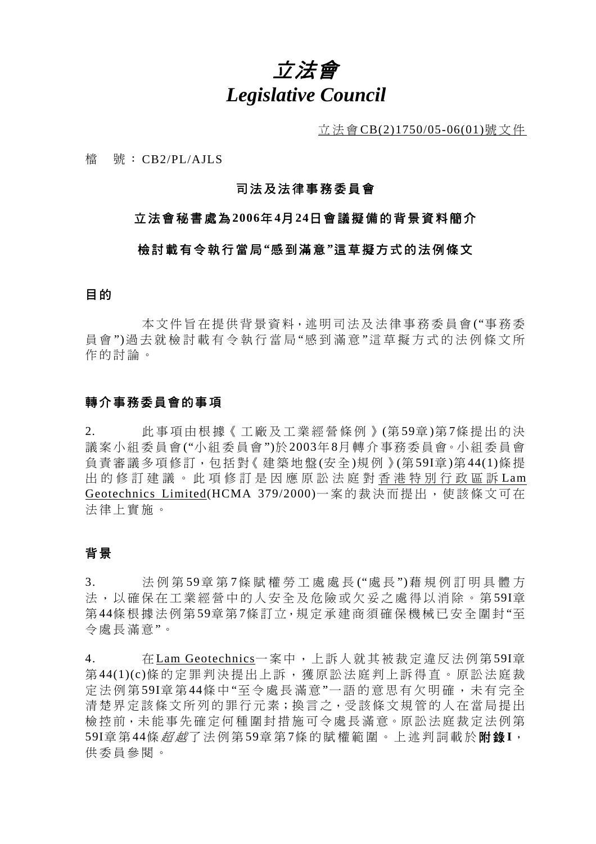# 立法會 *Legislative Council*

立法會 CB(2)1750/05-06(01)號文件

檔 號: CB2/PL/AJLS

#### 司法及法律事務委員會

#### 立法會秘書處為 **2006**年 **4**月 **24**日會議擬備的背景資料簡介

#### 檢討載有令執行當局 **"**感到滿意 **"**這草擬方式的法例條文

#### 目 的

 本文件旨在提供背景資料,述 明司法及法律事務委員會 ("事務委 員 會 ")過去就檢討載有令執行當局 "感到滿意 "這草擬方式的法例條文所 作的討論。

#### 轉介事務委員會的事項

2. 此事項由根據《工廠及工業經營條例》 (第 59章 )第 7條提出的決 議案小組委員會 ("小組委員會 ")於2003年 8月 轉 介 事務委員會。小 組 委 員 會 負 責 審 議 多 項 修 訂,包括 對《 建 築 地 盤 (安全)規例》(第59I章)第 44(1)條提 出的修訂建議。此項修訂是因應原 訟法庭對香港特別行政區訴 Lam Geotechnics Limited(HCMA 379/2000)一案的裁決而提出,使該條文可在 法律上實施。

#### 背 景

3. 法例第 59章 第 7條賦權勞工處處長 ("處 長 ")藉規例訂明具體方 法, 以確保在工業經營中的人安全及危險或欠妥之處得以消除。第59I章 第44條根據法例第59章第7條訂立,規定承建商須確保機械已安全圍封"至 令處長滿意 "。

4. 在 Lam Geotechnics一案中,上訴人就其被裁定違反法例第59I章 第44(1)(c)條的定罪判決提出上訴,獲原訟法庭判上訴得直。原訟法庭裁 定法例第59I章第44條中"至令處長滿意"一語的意思有欠明確,未有完全 清楚界定該條文所列的罪行元素;換言之,受該條文規管的人在當局提出 檢控前,未能事先確定何種圍封措施可今處長滿意。原訟法庭裁定法例第 59I章 第 44條 *超 越*了法 例 第 59章 第 7條 的 賦 權 範 圍 。 上 述 判 詞 載 於 **附 錄 I**, 供委員參閱。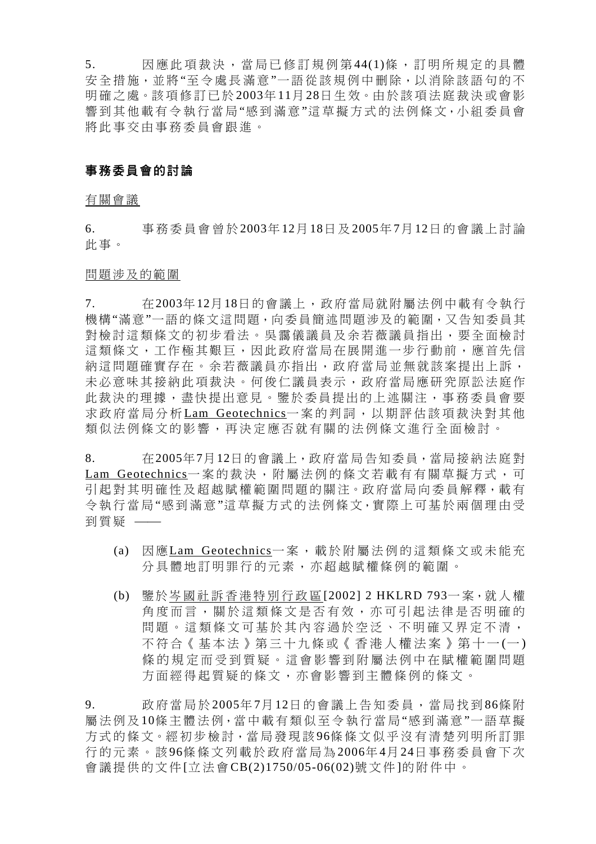5. 因應此項裁決,當局已修訂規例第44(1)條,訂明所規定的具體 安全措施,並將"至令處長滿意"一語從該規例中刪除,以消除該語句的不 明確之處。該項修訂已於 2003年11月28日生效。由於該項法庭裁決或會影 響到其他載有令執行當局"感到滿意"這草擬方式的法例條文,小組委員會 將此事交由事務委員會跟進。

#### 事務委員會的討論

#### 有關會議

6. 事務委員會曾於2003年12月 18日 及2005年7月12日的會議上討論 此事。

#### 問題涉及的範圍

7. 在2003年12月18日的會議上,政府當局就附屬法例中載有令執行 機構"滿意"一語的條文這問題,向委員簡述問題涉及的範圍,又告知委員其 對檢討這類條文的初步看法。吳靄儀議員及余若薇議員指出,要全面檢討 這類條文,工作極其艱巨,因此政府當局在展開進一步行動前,應首先信 納這問題確實存在。余若薇議員亦指出,政府當局並無就該案提出上訴, 未必意味其接納此項裁決。何俊仁議員表示,政府當局應研究原訟法庭作 此裁決的理據,盡快提出意見。鑒於委員提出的上述關注,事務委員會要 求政府當局分析 Lam Geotechnics一案的判詞, 以期評估該項裁決對其他 類似法例條文的影響,再決定應否就有關的法例條文進行全面檢討。

8. 在2005年7月12日的會議上,政 府當局告知委員,當局接 納 法庭對 Lam Geotechnics一案的裁決,附屬法例的條文若載有有關草擬方式,可 引 起對其明確性及超越賦權範圍問題的關注。政府當局向委員解釋,載有 令執行當局 "感到滿意"這草擬方式的法例條文,實際上 可基於兩個理 由 受 到質疑 –

- (a) 因應Lam Geotechnics一案,載於附屬法例的這類條文或未能充 分 具體地訂明罪行的元素,亦 超越賦權條例的範圍。
- (b) 鑒於岑國社 訴香港特別行政區 [2002] 2 HKLRD 793一 案,就 人 權 角度而言,關於這類條文是否有效,亦可引起法律是否明確的 問題。這類條文可基於其內容過於空泛、不明確又界定不清, 不 符 合 《 基 本法》第 三十九 條 或 《香港人權法案》第 十 一 (一 ) 條的規定而受到質疑。這會影響到附屬法例中在賦權範圍問題 方面經得起質疑的條文,亦會影響到主體條例的條文。

<sup>9.</sup> 政府當局於 2005年7月 12日的會議上告知委員,當局 找到 86條附 屬法例及10條主體 法 例,當中 載 有 類似 至令執行當局"感到滿意"一語草擬 方式的條文。經初步檢討,當局發現該96條條文似乎沒有清楚列明所訂罪 行的元素。該96條條文列載於政府當局 為2006年 4月 24日事務委員會下次 會議提供的文件 [立法會 CB(2)1750/05-06(02)號文件 ]的附件中。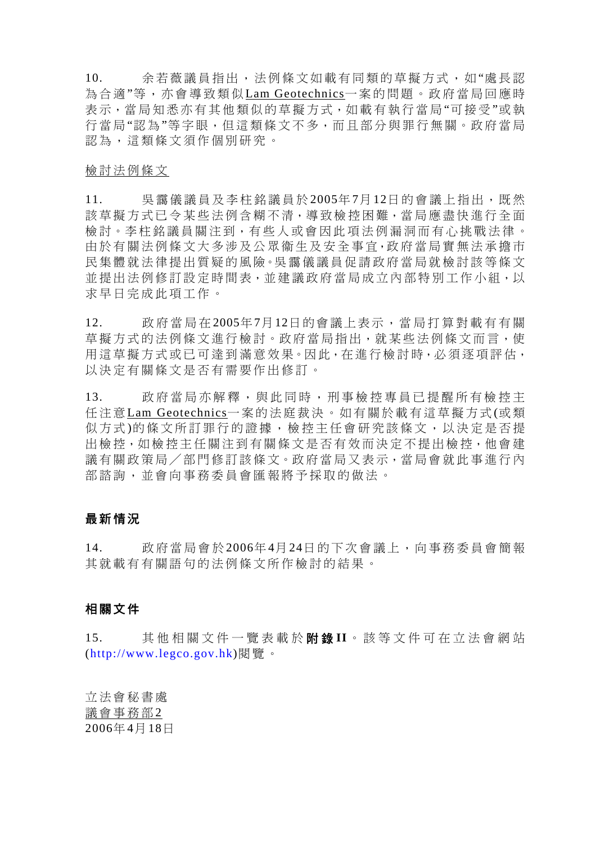10. 余若薇議員指出,法例條文如載有同類的草擬方式,如"處長認 為合適"等,亦會導 致類似Lam Geotechnics一案的問題。政府當局 回應時 表示,當局知悉亦有其他類似的草擬方式,如載有執行當局"可接受"或執 行當局"認為"等字眼,但這類條文不多,而且部分與罪行無關。政府當局 認 為,這類條文須作 個別研究 。

#### 檢討法例條文

11. 吳靄儀議員及李柱銘議員於2005年7月12日的會議上指出,既然 該草擬方式已令某些法例含糊不清,導致檢控困難,當局應盡快進行全面 檢討。李柱銘議員關注到,有些人或會因此項法例漏洞而有心挑戰法律。 由於有關法例條文大多涉及公眾衞生及安全事宜,政府當局實無法承擔市 民集體就法律提出質疑的風險。吳靄儀議員促請政府當局就檢討該等條文 並提出法例修訂設定時間表,並建議政府當局成立內部特別工作小組,以 求 早日完成 此項工作。

12. 政府當局在 2005年7月12日的會議上表示,當局 打 算 對載有有關 草擬方式的法例條文進行檢討。政府當局指出,就某些法例條文而言,使 用這草擬方式或已可達到滿意效果。因此, 在進行檢討時, 必須逐項評估, 以決定有關條文是否有需要作出修訂。

13. 政府當局亦解釋,與此同時,刑事檢控專員已提醒所有檢控主 任 注意 Lam Geotechnics一案的法庭裁決。如有關於載有這草擬方式 (或 類 似方式)的條文所訂罪行的證據,檢控主任會研究該條文,以決定是否提 出檢控,如 檢控主任 關注到有關條文是 否有效而決定不提出檢控,他會建 議有關政策局/部門修訂該條文。政府當局又表示,當局會就此事進行內 部諮詢,並會向事務委員會匯報將予採取的做法。

#### 最新情況

14. 政府當局會於2006年 4月 24日 的下次會議上,向事務委員會簡報 其就載有有關語句的法例條文所作檢討的結果。

#### 相關文件

15. 其 他 相 關文件一 覽 表 載 於 附 錄 **II**。 該 等 文件可在立法會 網 站 (http://www.legco.gov.hk)閱覽 。

立法會秘書 處 議會事務部2 2006年 4月 18日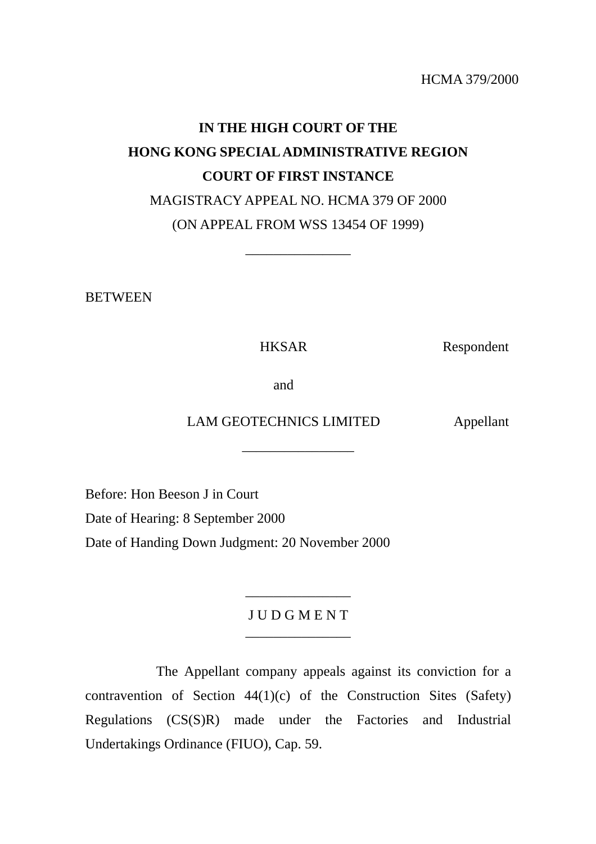HCMA 379/2000

# **IN THE HIGH COURT OF THE HONG KONG SPECIAL ADMINISTRATIVE REGION COURT OF FIRST INSTANCE**  MAGISTRACY APPEAL NO. HCMA 379 OF 2000 (ON APPEAL FROM WSS 13454 OF 1999)

\_\_\_\_\_\_\_\_\_\_\_\_\_\_\_

**BETWEEN** 

HKSAR Respondent

and

LAM GEOTECHNICS LIMITED Appellant

\_\_\_\_\_\_\_\_\_\_\_\_\_\_\_\_

Before: Hon Beeson J in Court

Date of Hearing: 8 September 2000

Date of Handing Down Judgment: 20 November 2000

J U D G M E N T \_\_\_\_\_\_\_\_\_\_\_\_\_\_\_

\_\_\_\_\_\_\_\_\_\_\_\_\_\_\_

 The Appellant company appeals against its conviction for a contravention of Section 44(1)(c) of the Construction Sites (Safety) Regulations (CS(S)R) made under the Factories and Industrial Undertakings Ordinance (FIUO), Cap. 59.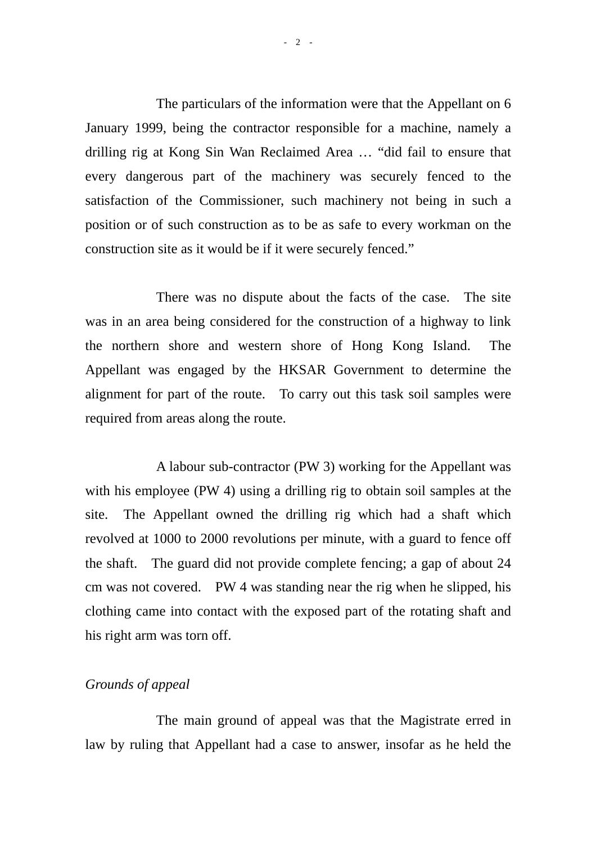The particulars of the information were that the Appellant on 6 January 1999, being the contractor responsible for a machine, namely a drilling rig at Kong Sin Wan Reclaimed Area … "did fail to ensure that every dangerous part of the machinery was securely fenced to the satisfaction of the Commissioner, such machinery not being in such a position or of such construction as to be as safe to every workman on the construction site as it would be if it were securely fenced."

 There was no dispute about the facts of the case. The site was in an area being considered for the construction of a highway to link the northern shore and western shore of Hong Kong Island. The Appellant was engaged by the HKSAR Government to determine the alignment for part of the route. To carry out this task soil samples were required from areas along the route.

 A labour sub-contractor (PW 3) working for the Appellant was with his employee (PW 4) using a drilling rig to obtain soil samples at the site. The Appellant owned the drilling rig which had a shaft which revolved at 1000 to 2000 revolutions per minute, with a guard to fence off the shaft. The guard did not provide complete fencing; a gap of about 24 cm was not covered. PW 4 was standing near the rig when he slipped, his clothing came into contact with the exposed part of the rotating shaft and his right arm was torn off.

### *Grounds of appeal*

 The main ground of appeal was that the Magistrate erred in law by ruling that Appellant had a case to answer, insofar as he held the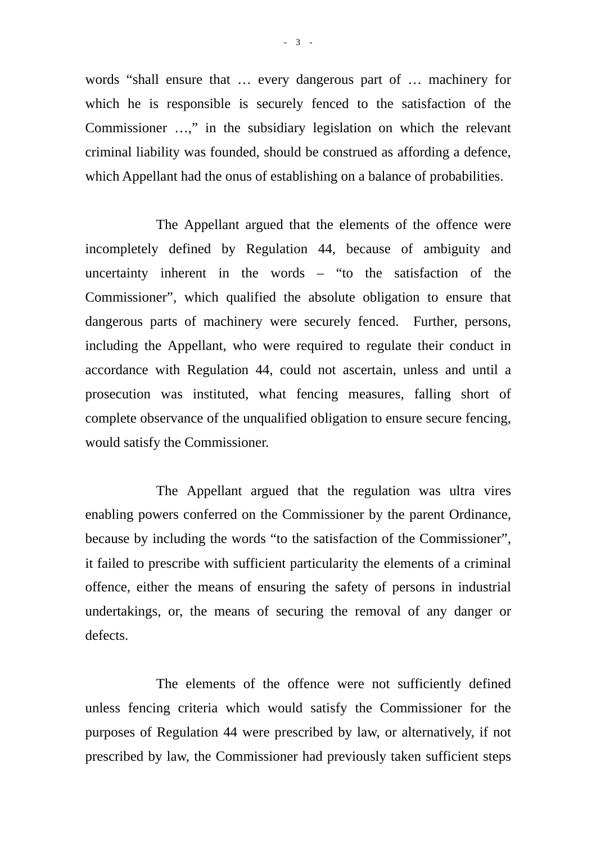words "shall ensure that … every dangerous part of … machinery for which he is responsible is securely fenced to the satisfaction of the Commissioner …," in the subsidiary legislation on which the relevant criminal liability was founded, should be construed as affording a defence, which Appellant had the onus of establishing on a balance of probabilities.

 The Appellant argued that the elements of the offence were incompletely defined by Regulation 44, because of ambiguity and uncertainty inherent in the words – "to the satisfaction of the Commissioner", which qualified the absolute obligation to ensure that dangerous parts of machinery were securely fenced. Further, persons, including the Appellant, who were required to regulate their conduct in accordance with Regulation 44, could not ascertain, unless and until a prosecution was instituted, what fencing measures, falling short of complete observance of the unqualified obligation to ensure secure fencing, would satisfy the Commissioner.

 The Appellant argued that the regulation was ultra vires enabling powers conferred on the Commissioner by the parent Ordinance, because by including the words "to the satisfaction of the Commissioner", it failed to prescribe with sufficient particularity the elements of a criminal offence, either the means of ensuring the safety of persons in industrial undertakings, or, the means of securing the removal of any danger or defects.

 The elements of the offence were not sufficiently defined unless fencing criteria which would satisfy the Commissioner for the purposes of Regulation 44 were prescribed by law, or alternatively, if not prescribed by law, the Commissioner had previously taken sufficient steps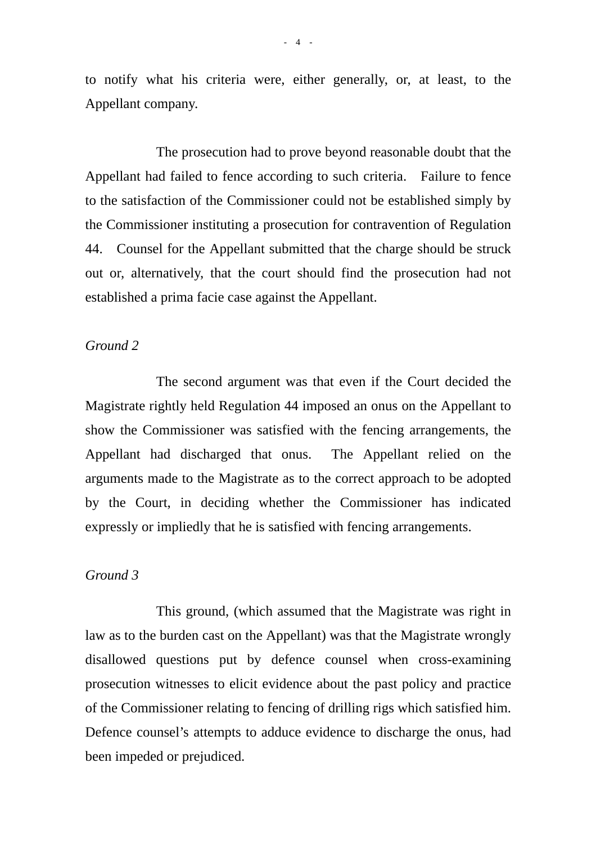to notify what his criteria were, either generally, or, at least, to the Appellant company.

 The prosecution had to prove beyond reasonable doubt that the Appellant had failed to fence according to such criteria. Failure to fence to the satisfaction of the Commissioner could not be established simply by the Commissioner instituting a prosecution for contravention of Regulation 44. Counsel for the Appellant submitted that the charge should be struck out or, alternatively, that the court should find the prosecution had not established a prima facie case against the Appellant.

### *Ground 2*

 The second argument was that even if the Court decided the Magistrate rightly held Regulation 44 imposed an onus on the Appellant to show the Commissioner was satisfied with the fencing arrangements, the Appellant had discharged that onus. The Appellant relied on the arguments made to the Magistrate as to the correct approach to be adopted by the Court, in deciding whether the Commissioner has indicated expressly or impliedly that he is satisfied with fencing arrangements.

### *Ground 3*

 This ground, (which assumed that the Magistrate was right in law as to the burden cast on the Appellant) was that the Magistrate wrongly disallowed questions put by defence counsel when cross-examining prosecution witnesses to elicit evidence about the past policy and practice of the Commissioner relating to fencing of drilling rigs which satisfied him. Defence counsel's attempts to adduce evidence to discharge the onus, had been impeded or prejudiced.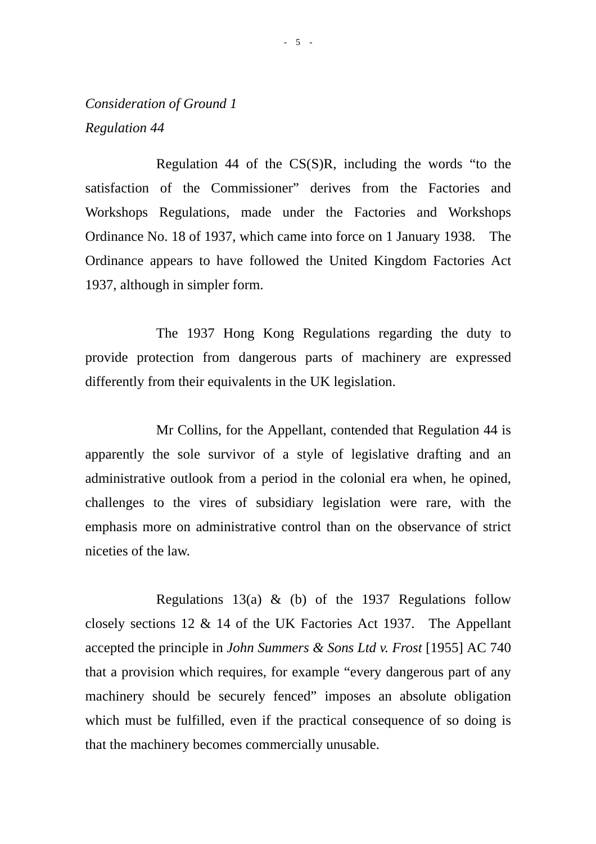## *Consideration of Ground 1 Regulation 44*

 Regulation 44 of the CS(S)R, including the words "to the satisfaction of the Commissioner" derives from the Factories and Workshops Regulations, made under the Factories and Workshops Ordinance No. 18 of 1937, which came into force on 1 January 1938. The Ordinance appears to have followed the United Kingdom Factories Act 1937, although in simpler form.

 The 1937 Hong Kong Regulations regarding the duty to provide protection from dangerous parts of machinery are expressed differently from their equivalents in the UK legislation.

 Mr Collins, for the Appellant, contended that Regulation 44 is apparently the sole survivor of a style of legislative drafting and an administrative outlook from a period in the colonial era when, he opined, challenges to the vires of subsidiary legislation were rare, with the emphasis more on administrative control than on the observance of strict niceties of the law.

Regulations 13(a)  $\&$  (b) of the 1937 Regulations follow closely sections 12 & 14 of the UK Factories Act 1937. The Appellant accepted the principle in *John Summers & Sons Ltd v. Frost* [1955] AC 740 that a provision which requires, for example "every dangerous part of any machinery should be securely fenced" imposes an absolute obligation which must be fulfilled, even if the practical consequence of so doing is that the machinery becomes commercially unusable.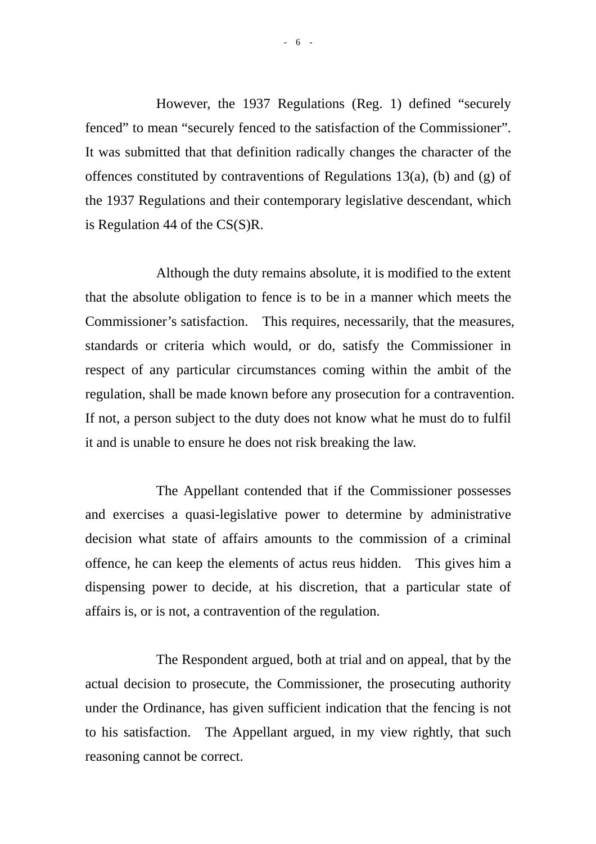However, the 1937 Regulations (Reg. 1) defined "securely fenced" to mean "securely fenced to the satisfaction of the Commissioner". It was submitted that that definition radically changes the character of the offences constituted by contraventions of Regulations 13(a), (b) and (g) of the 1937 Regulations and their contemporary legislative descendant, which is Regulation 44 of the CS(S)R.

 Although the duty remains absolute, it is modified to the extent that the absolute obligation to fence is to be in a manner which meets the Commissioner's satisfaction. This requires, necessarily, that the measures, standards or criteria which would, or do, satisfy the Commissioner in respect of any particular circumstances coming within the ambit of the regulation, shall be made known before any prosecution for a contravention. If not, a person subject to the duty does not know what he must do to fulfil it and is unable to ensure he does not risk breaking the law.

 The Appellant contended that if the Commissioner possesses and exercises a quasi-legislative power to determine by administrative decision what state of affairs amounts to the commission of a criminal offence, he can keep the elements of actus reus hidden. This gives him a dispensing power to decide, at his discretion, that a particular state of affairs is, or is not, a contravention of the regulation.

 The Respondent argued, both at trial and on appeal, that by the actual decision to prosecute, the Commissioner, the prosecuting authority under the Ordinance, has given sufficient indication that the fencing is not to his satisfaction. The Appellant argued, in my view rightly, that such reasoning cannot be correct.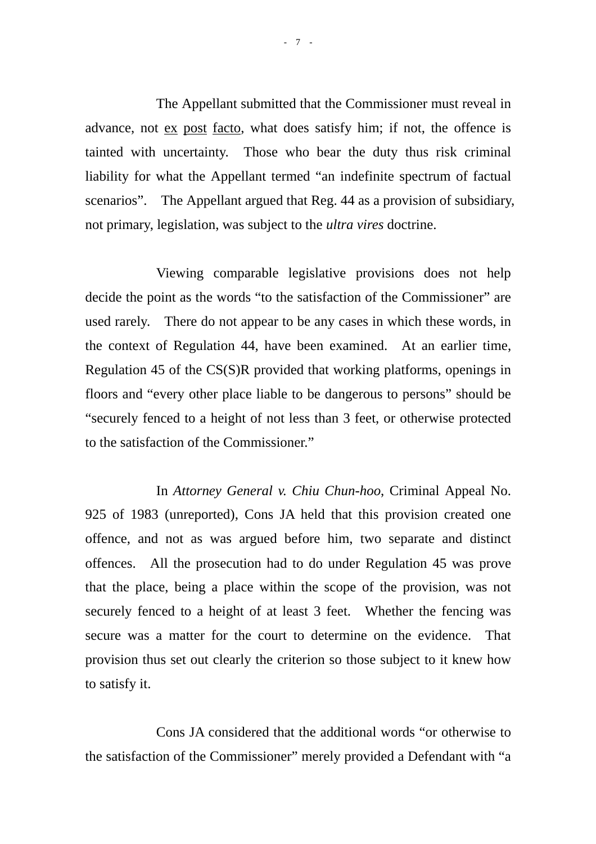The Appellant submitted that the Commissioner must reveal in advance, not ex post facto, what does satisfy him; if not, the offence is tainted with uncertainty. Those who bear the duty thus risk criminal liability for what the Appellant termed "an indefinite spectrum of factual scenarios". The Appellant argued that Reg. 44 as a provision of subsidiary, not primary, legislation, was subject to the *ultra vires* doctrine.

 Viewing comparable legislative provisions does not help decide the point as the words "to the satisfaction of the Commissioner" are used rarely. There do not appear to be any cases in which these words, in the context of Regulation 44, have been examined. At an earlier time, Regulation 45 of the CS(S)R provided that working platforms, openings in floors and "every other place liable to be dangerous to persons" should be "securely fenced to a height of not less than 3 feet, or otherwise protected to the satisfaction of the Commissioner."

 In *Attorney General v. Chiu Chun-hoo*, Criminal Appeal No. 925 of 1983 (unreported), Cons JA held that this provision created one offence, and not as was argued before him, two separate and distinct offences. All the prosecution had to do under Regulation 45 was prove that the place, being a place within the scope of the provision, was not securely fenced to a height of at least 3 feet. Whether the fencing was secure was a matter for the court to determine on the evidence. That provision thus set out clearly the criterion so those subject to it knew how to satisfy it.

 Cons JA considered that the additional words "or otherwise to the satisfaction of the Commissioner" merely provided a Defendant with "a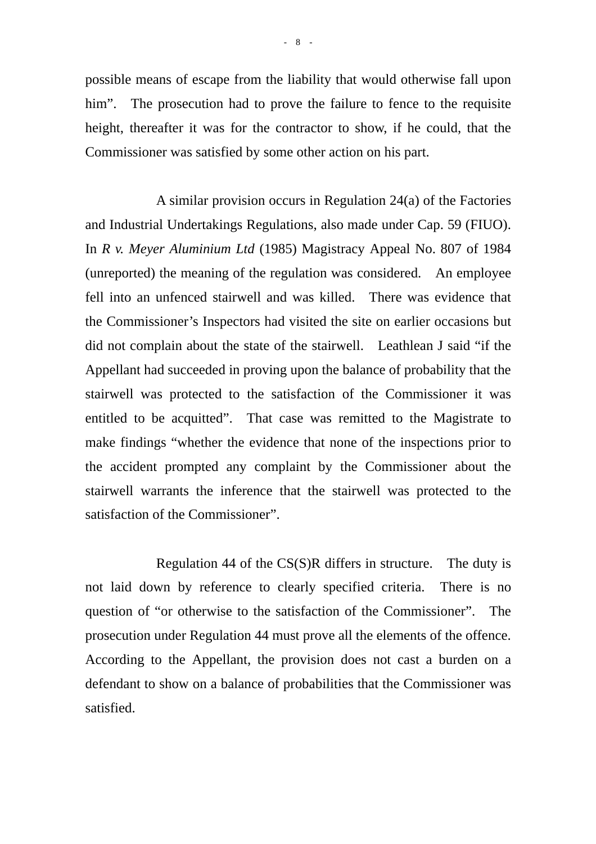possible means of escape from the liability that would otherwise fall upon him". The prosecution had to prove the failure to fence to the requisite height, thereafter it was for the contractor to show, if he could, that the Commissioner was satisfied by some other action on his part.

 A similar provision occurs in Regulation 24(a) of the Factories and Industrial Undertakings Regulations, also made under Cap. 59 (FIUO). In *R v. Meyer Aluminium Ltd* (1985) Magistracy Appeal No. 807 of 1984 (unreported) the meaning of the regulation was considered. An employee fell into an unfenced stairwell and was killed. There was evidence that the Commissioner's Inspectors had visited the site on earlier occasions but did not complain about the state of the stairwell. Leathlean J said "if the Appellant had succeeded in proving upon the balance of probability that the stairwell was protected to the satisfaction of the Commissioner it was entitled to be acquitted". That case was remitted to the Magistrate to make findings "whether the evidence that none of the inspections prior to the accident prompted any complaint by the Commissioner about the stairwell warrants the inference that the stairwell was protected to the satisfaction of the Commissioner".

 Regulation 44 of the CS(S)R differs in structure. The duty is not laid down by reference to clearly specified criteria. There is no question of "or otherwise to the satisfaction of the Commissioner". The prosecution under Regulation 44 must prove all the elements of the offence. According to the Appellant, the provision does not cast a burden on a defendant to show on a balance of probabilities that the Commissioner was satisfied.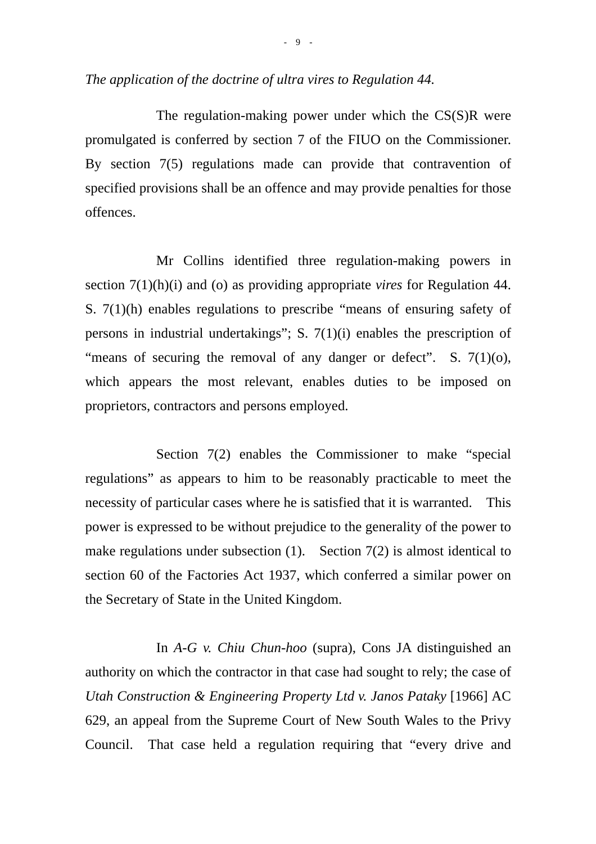The regulation-making power under which the CS(S)R were promulgated is conferred by section 7 of the FIUO on the Commissioner. By section 7(5) regulations made can provide that contravention of specified provisions shall be an offence and may provide penalties for those offences.

 Mr Collins identified three regulation-making powers in section 7(1)(h)(i) and (o) as providing appropriate *vires* for Regulation 44. S. 7(1)(h) enables regulations to prescribe "means of ensuring safety of persons in industrial undertakings"; S. 7(1)(i) enables the prescription of "means of securing the removal of any danger or defect". S.  $7(1)(0)$ , which appears the most relevant, enables duties to be imposed on proprietors, contractors and persons employed.

Section 7(2) enables the Commissioner to make "special" regulations" as appears to him to be reasonably practicable to meet the necessity of particular cases where he is satisfied that it is warranted. This power is expressed to be without prejudice to the generality of the power to make regulations under subsection  $(1)$ . Section  $7(2)$  is almost identical to section 60 of the Factories Act 1937, which conferred a similar power on the Secretary of State in the United Kingdom.

 In *A-G v. Chiu Chun-hoo* (supra), Cons JA distinguished an authority on which the contractor in that case had sought to rely; the case of *Utah Construction & Engineering Property Ltd v. Janos Pataky* [1966] AC 629, an appeal from the Supreme Court of New South Wales to the Privy Council. That case held a regulation requiring that "every drive and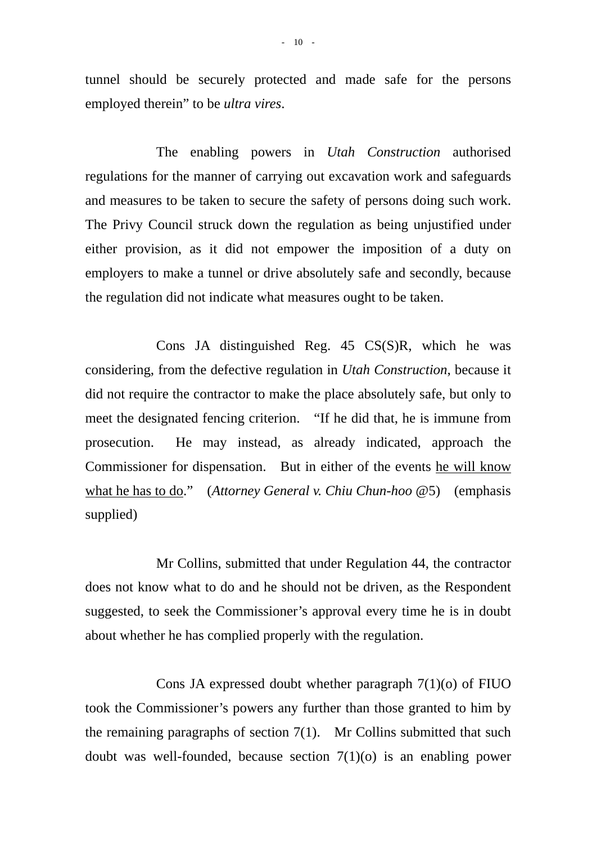tunnel should be securely protected and made safe for the persons employed therein" to be *ultra vires*.

 The enabling powers in *Utah Construction* authorised regulations for the manner of carrying out excavation work and safeguards and measures to be taken to secure the safety of persons doing such work. The Privy Council struck down the regulation as being unjustified under either provision, as it did not empower the imposition of a duty on employers to make a tunnel or drive absolutely safe and secondly, because the regulation did not indicate what measures ought to be taken.

 Cons JA distinguished Reg. 45 CS(S)R, which he was considering, from the defective regulation in *Utah Construction*, because it did not require the contractor to make the place absolutely safe, but only to meet the designated fencing criterion. "If he did that, he is immune from prosecution. He may instead, as already indicated, approach the Commissioner for dispensation. But in either of the events he will know what he has to do." (*Attorney General v. Chiu Chun-hoo* @5) (emphasis supplied)

 Mr Collins, submitted that under Regulation 44, the contractor does not know what to do and he should not be driven, as the Respondent suggested, to seek the Commissioner's approval every time he is in doubt about whether he has complied properly with the regulation.

Cons JA expressed doubt whether paragraph  $7(1)(o)$  of FIUO took the Commissioner's powers any further than those granted to him by the remaining paragraphs of section 7(1). Mr Collins submitted that such doubt was well-founded, because section 7(1)(o) is an enabling power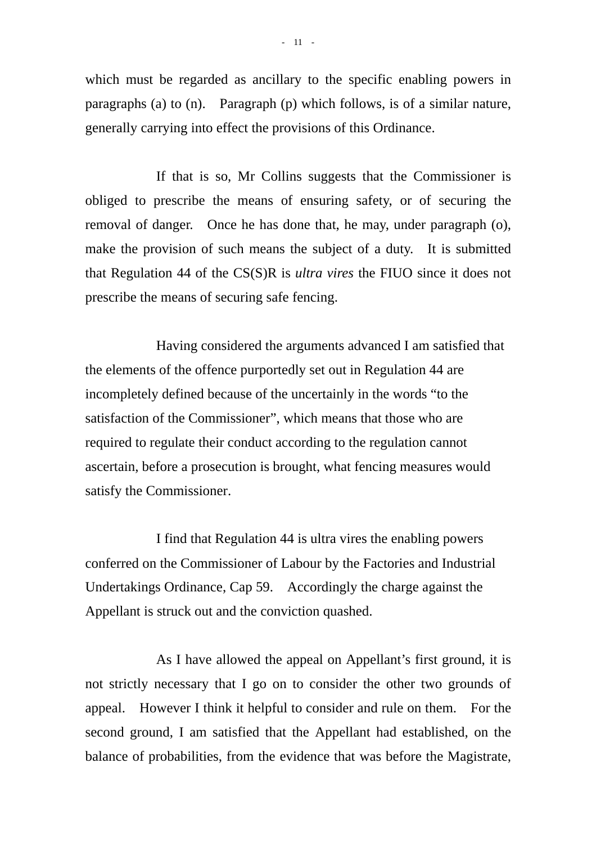which must be regarded as ancillary to the specific enabling powers in paragraphs (a) to (n). Paragraph (p) which follows, is of a similar nature, generally carrying into effect the provisions of this Ordinance.

 If that is so, Mr Collins suggests that the Commissioner is obliged to prescribe the means of ensuring safety, or of securing the removal of danger. Once he has done that, he may, under paragraph (o), make the provision of such means the subject of a duty. It is submitted that Regulation 44 of the CS(S)R is *ultra vires* the FIUO since it does not prescribe the means of securing safe fencing.

 Having considered the arguments advanced I am satisfied that the elements of the offence purportedly set out in Regulation 44 are incompletely defined because of the uncertainly in the words "to the satisfaction of the Commissioner", which means that those who are required to regulate their conduct according to the regulation cannot ascertain, before a prosecution is brought, what fencing measures would satisfy the Commissioner.

 I find that Regulation 44 is ultra vires the enabling powers conferred on the Commissioner of Labour by the Factories and Industrial Undertakings Ordinance, Cap 59. Accordingly the charge against the Appellant is struck out and the conviction quashed.

 As I have allowed the appeal on Appellant's first ground, it is not strictly necessary that I go on to consider the other two grounds of appeal. However I think it helpful to consider and rule on them. For the second ground, I am satisfied that the Appellant had established, on the balance of probabilities, from the evidence that was before the Magistrate,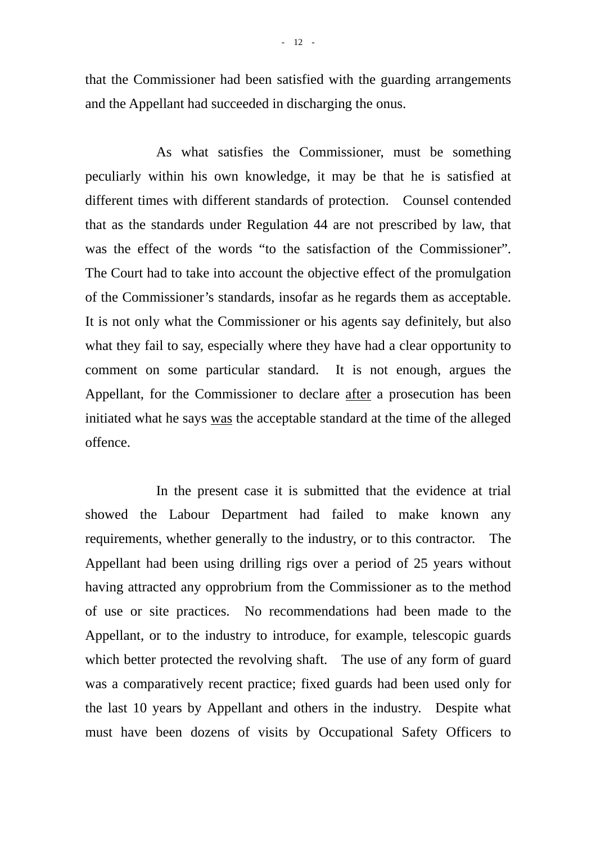that the Commissioner had been satisfied with the guarding arrangements and the Appellant had succeeded in discharging the onus.

 As what satisfies the Commissioner, must be something peculiarly within his own knowledge, it may be that he is satisfied at different times with different standards of protection. Counsel contended that as the standards under Regulation 44 are not prescribed by law, that was the effect of the words "to the satisfaction of the Commissioner". The Court had to take into account the objective effect of the promulgation of the Commissioner's standards, insofar as he regards them as acceptable. It is not only what the Commissioner or his agents say definitely, but also what they fail to say, especially where they have had a clear opportunity to comment on some particular standard. It is not enough, argues the Appellant, for the Commissioner to declare after a prosecution has been initiated what he says was the acceptable standard at the time of the alleged offence.

 In the present case it is submitted that the evidence at trial showed the Labour Department had failed to make known any requirements, whether generally to the industry, or to this contractor. The Appellant had been using drilling rigs over a period of 25 years without having attracted any opprobrium from the Commissioner as to the method of use or site practices. No recommendations had been made to the Appellant, or to the industry to introduce, for example, telescopic guards which better protected the revolving shaft. The use of any form of guard was a comparatively recent practice; fixed guards had been used only for the last 10 years by Appellant and others in the industry. Despite what must have been dozens of visits by Occupational Safety Officers to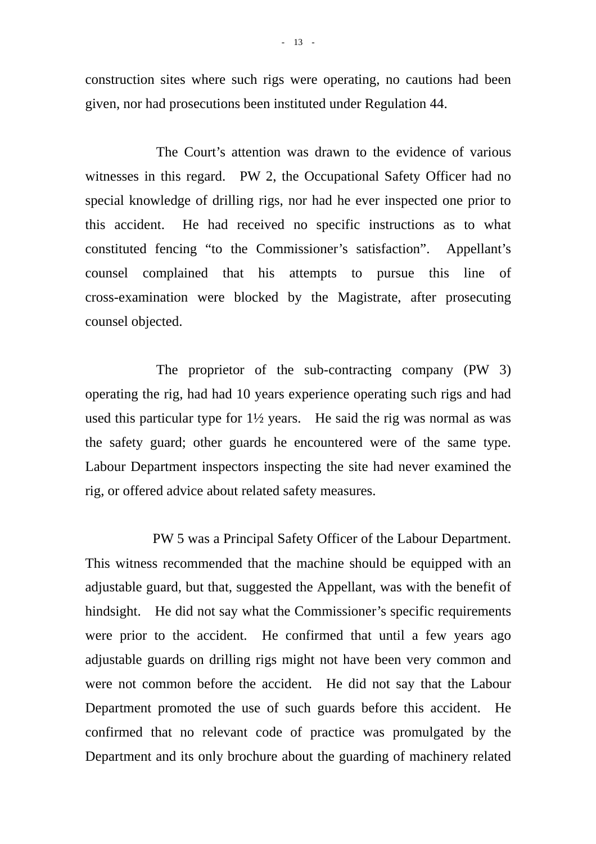construction sites where such rigs were operating, no cautions had been given, nor had prosecutions been instituted under Regulation 44.

 The Court's attention was drawn to the evidence of various witnesses in this regard. PW 2, the Occupational Safety Officer had no special knowledge of drilling rigs, nor had he ever inspected one prior to this accident. He had received no specific instructions as to what constituted fencing "to the Commissioner's satisfaction". Appellant's counsel complained that his attempts to pursue this line of cross-examination were blocked by the Magistrate, after prosecuting counsel objected.

 The proprietor of the sub-contracting company (PW 3) operating the rig, had had 10 years experience operating such rigs and had used this particular type for  $1\frac{1}{2}$  years. He said the rig was normal as was the safety guard; other guards he encountered were of the same type. Labour Department inspectors inspecting the site had never examined the rig, or offered advice about related safety measures.

 PW 5 was a Principal Safety Officer of the Labour Department. This witness recommended that the machine should be equipped with an adjustable guard, but that, suggested the Appellant, was with the benefit of hindsight. He did not say what the Commissioner's specific requirements were prior to the accident. He confirmed that until a few years ago adjustable guards on drilling rigs might not have been very common and were not common before the accident. He did not say that the Labour Department promoted the use of such guards before this accident. He confirmed that no relevant code of practice was promulgated by the Department and its only brochure about the guarding of machinery related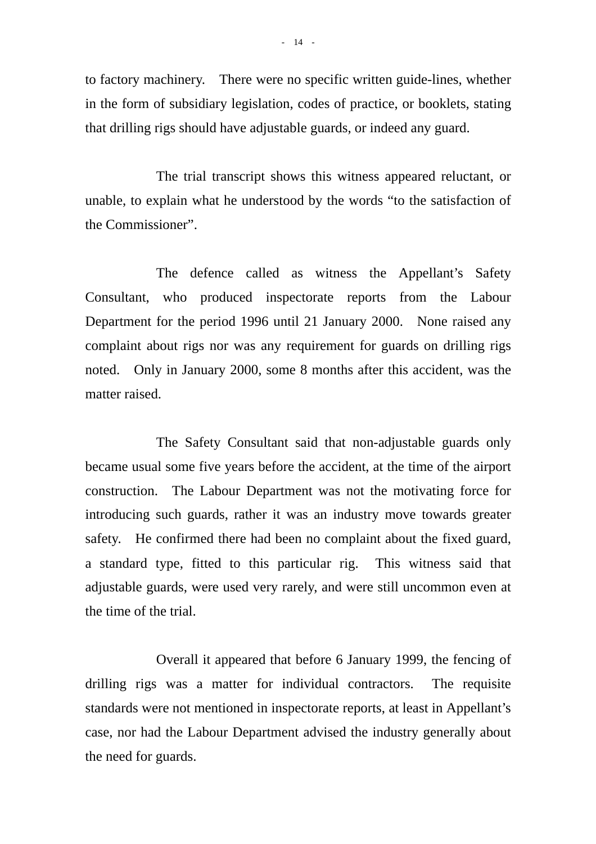to factory machinery. There were no specific written guide-lines, whether in the form of subsidiary legislation, codes of practice, or booklets, stating that drilling rigs should have adjustable guards, or indeed any guard.

 The trial transcript shows this witness appeared reluctant, or unable, to explain what he understood by the words "to the satisfaction of the Commissioner".

 The defence called as witness the Appellant's Safety Consultant, who produced inspectorate reports from the Labour Department for the period 1996 until 21 January 2000. None raised any complaint about rigs nor was any requirement for guards on drilling rigs noted. Only in January 2000, some 8 months after this accident, was the matter raised.

 The Safety Consultant said that non-adjustable guards only became usual some five years before the accident, at the time of the airport construction. The Labour Department was not the motivating force for introducing such guards, rather it was an industry move towards greater safety. He confirmed there had been no complaint about the fixed guard, a standard type, fitted to this particular rig. This witness said that adjustable guards, were used very rarely, and were still uncommon even at the time of the trial.

 Overall it appeared that before 6 January 1999, the fencing of drilling rigs was a matter for individual contractors. The requisite standards were not mentioned in inspectorate reports, at least in Appellant's case, nor had the Labour Department advised the industry generally about the need for guards.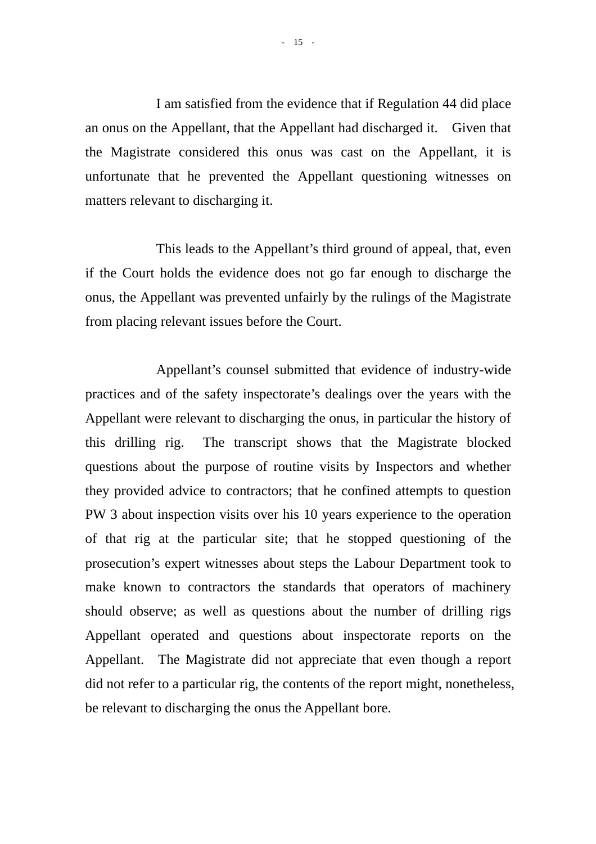I am satisfied from the evidence that if Regulation 44 did place an onus on the Appellant, that the Appellant had discharged it. Given that the Magistrate considered this onus was cast on the Appellant, it is unfortunate that he prevented the Appellant questioning witnesses on matters relevant to discharging it.

 This leads to the Appellant's third ground of appeal, that, even if the Court holds the evidence does not go far enough to discharge the onus, the Appellant was prevented unfairly by the rulings of the Magistrate from placing relevant issues before the Court.

 Appellant's counsel submitted that evidence of industry-wide practices and of the safety inspectorate's dealings over the years with the Appellant were relevant to discharging the onus, in particular the history of this drilling rig. The transcript shows that the Magistrate blocked questions about the purpose of routine visits by Inspectors and whether they provided advice to contractors; that he confined attempts to question PW 3 about inspection visits over his 10 years experience to the operation of that rig at the particular site; that he stopped questioning of the prosecution's expert witnesses about steps the Labour Department took to make known to contractors the standards that operators of machinery should observe; as well as questions about the number of drilling rigs Appellant operated and questions about inspectorate reports on the Appellant. The Magistrate did not appreciate that even though a report did not refer to a particular rig, the contents of the report might, nonetheless, be relevant to discharging the onus the Appellant bore.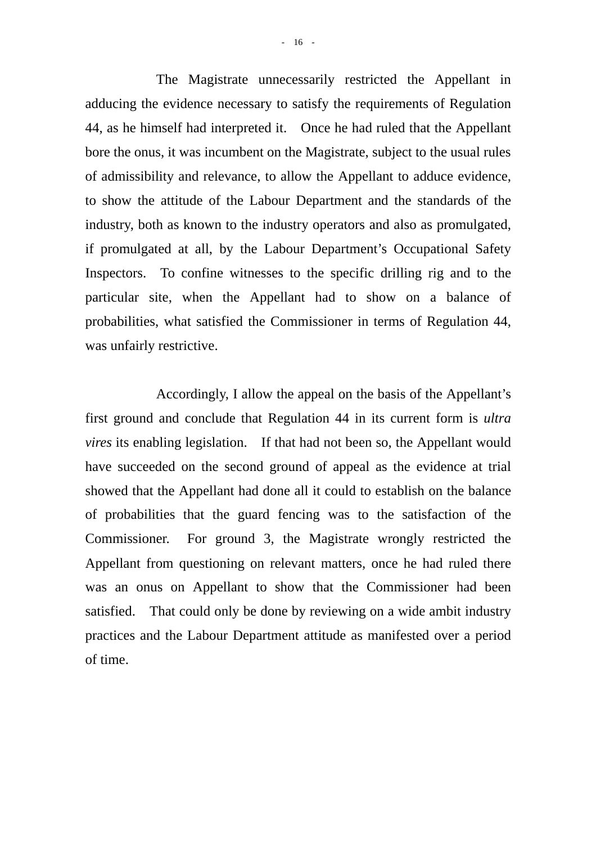The Magistrate unnecessarily restricted the Appellant in adducing the evidence necessary to satisfy the requirements of Regulation 44, as he himself had interpreted it. Once he had ruled that the Appellant bore the onus, it was incumbent on the Magistrate, subject to the usual rules of admissibility and relevance, to allow the Appellant to adduce evidence, to show the attitude of the Labour Department and the standards of the industry, both as known to the industry operators and also as promulgated, if promulgated at all, by the Labour Department's Occupational Safety Inspectors. To confine witnesses to the specific drilling rig and to the particular site, when the Appellant had to show on a balance of probabilities, what satisfied the Commissioner in terms of Regulation 44, was unfairly restrictive.

 Accordingly, I allow the appeal on the basis of the Appellant's first ground and conclude that Regulation 44 in its current form is *ultra vires* its enabling legislation. If that had not been so, the Appellant would have succeeded on the second ground of appeal as the evidence at trial showed that the Appellant had done all it could to establish on the balance of probabilities that the guard fencing was to the satisfaction of the Commissioner. For ground 3, the Magistrate wrongly restricted the Appellant from questioning on relevant matters, once he had ruled there was an onus on Appellant to show that the Commissioner had been satisfied. That could only be done by reviewing on a wide ambit industry practices and the Labour Department attitude as manifested over a period of time.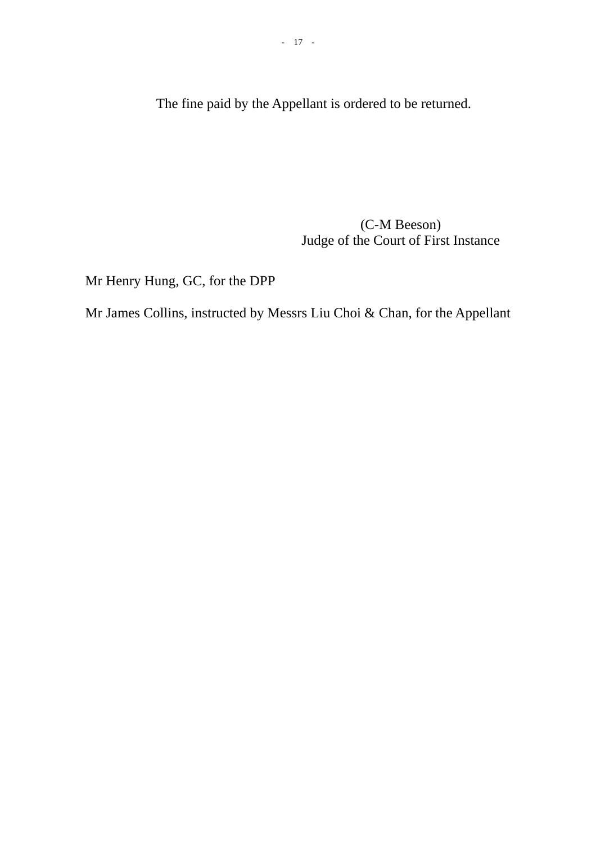The fine paid by the Appellant is ordered to be returned.

 (C-M Beeson) Judge of the Court of First Instance

Mr Henry Hung, GC, for the DPP

Mr James Collins, instructed by Messrs Liu Choi & Chan, for the Appellant